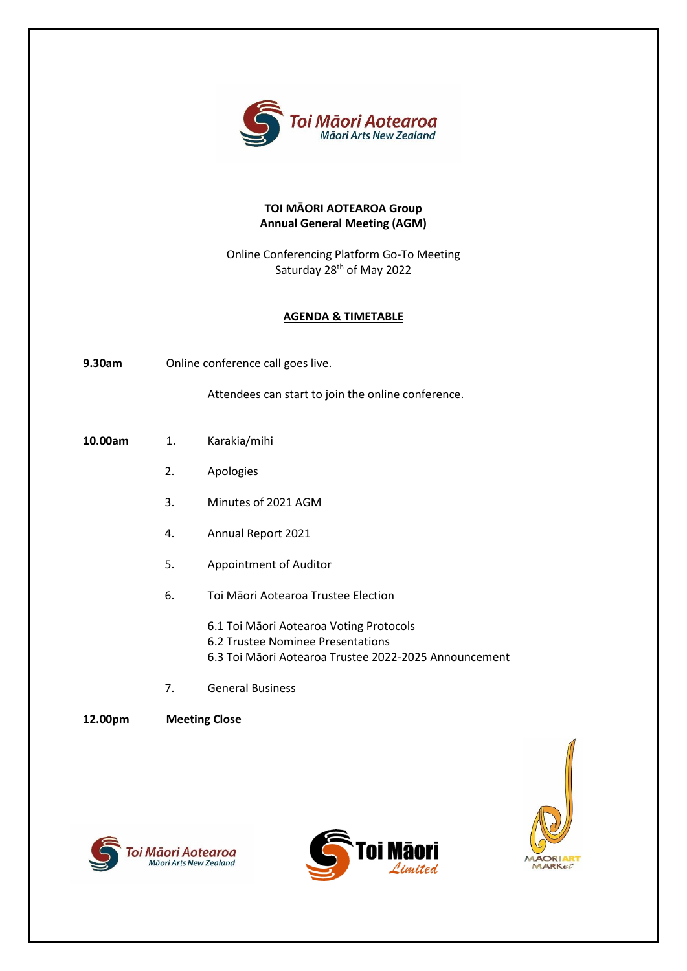

# **TOI MÃORI AOTEAROA Group Annual General Meeting (AGM)**

Online Conferencing Platform Go-To Meeting Saturday 28<sup>th</sup> of May 2022

# **AGENDA & TIMETABLE**

**9.30am** Online conference call goes live.

Attendees can start to join the online conference.

# **10.00am** 1. Karakia/mihi

- 2. Apologies
- 3. Minutes of 2021 AGM
- 4. Annual Report 2021
- 5. Appointment of Auditor
- 6. Toi Māori Aotearoa Trustee Election
	- 6.1 Toi Māori Aotearoa Voting Protocols 6.2 Trustee Nominee Presentations 6.3 Toi Māori Aotearoa Trustee 2022-2025 Announcement
- 7. General Business

# **12.00pm Meeting Close**





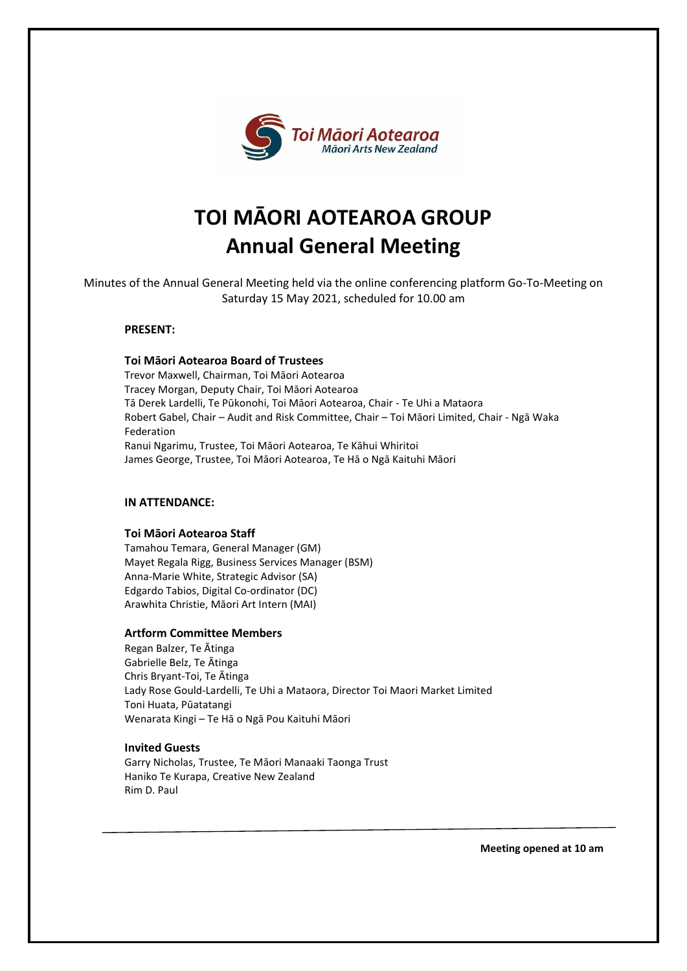

# **TOI MĀORI AOTEAROA GROUP Annual General Meeting**

Minutes of the Annual General Meeting held via the online conferencing platform Go-To-Meeting on Saturday 15 May 2021, scheduled for 10.00 am

## **PRESENT:**

## **Toi Māori Aotearoa Board of Trustees**

Trevor Maxwell, Chairman, Toi Māori Aotearoa Tracey Morgan, Deputy Chair, Toi Māori Aotearoa Tā Derek Lardelli, Te Pūkonohi, Toi Māori Aotearoa, Chair - Te Uhi a Mataora Robert Gabel, Chair – Audit and Risk Committee, Chair – Toi Māori Limited, Chair - Ngā Waka Federation Ranui Ngarimu, Trustee, Toi Māori Aotearoa, Te Kāhui Whiritoi James George, Trustee, Toi Māori Aotearoa, Te Hā o Ngā Kaituhi Māori

# **IN ATTENDANCE:**

## **Toi Māori Aotearoa Staff**

Tamahou Temara, General Manager (GM) Mayet Regala Rigg, Business Services Manager (BSM) Anna-Marie White, Strategic Advisor (SA) Edgardo Tabios, Digital Co-ordinator (DC) Arawhita Christie, Māori Art Intern (MAI)

## **Artform Committee Members**

Regan Balzer, Te Ātinga Gabrielle Belz, Te Ātinga Chris Bryant-Toi, Te Ātinga Lady Rose Gould-Lardelli, Te Uhi a Mataora, Director Toi Maori Market Limited Toni Huata, Pūatatangi Wenarata Kingi – Te Hā o Ngā Pou Kaituhi Māori

## **Invited Guests**

Garry Nicholas, Trustee, Te Māori Manaaki Taonga Trust Haniko Te Kurapa, Creative New Zealand Rim D. Paul

**Meeting opened at 10 am**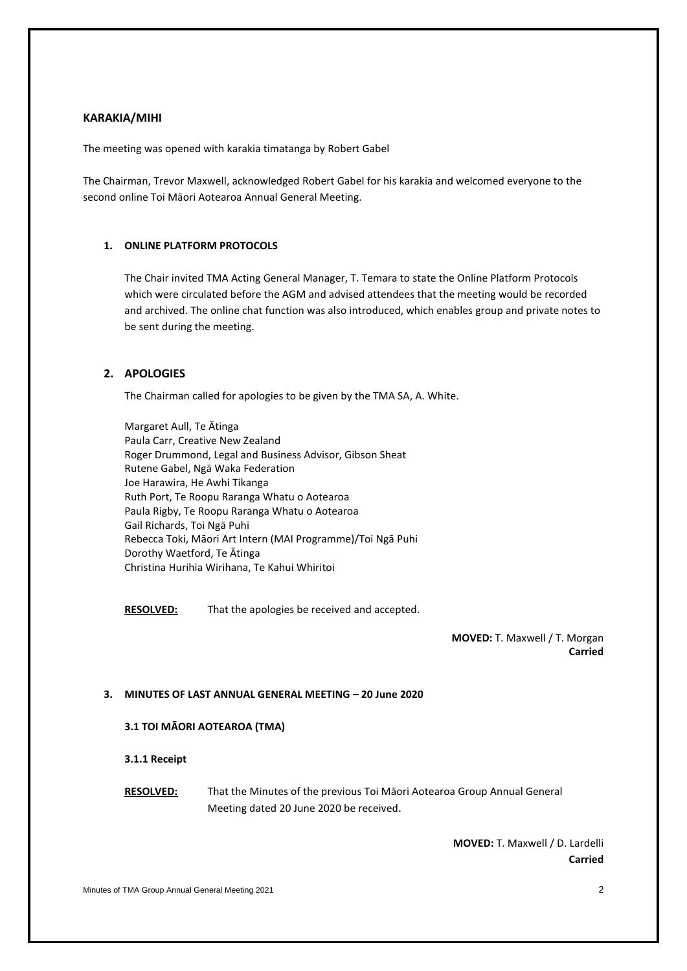## **KARAKIA/MIHI**

The meeting was opened with karakia timatanga by Robert Gabel

The Chairman, Trevor Maxwell, acknowledged Robert Gabel for his karakia and welcomed everyone to the second online Toi Māori Aotearoa Annual General Meeting.

#### **1. ONLINE PLATFORM PROTOCOLS**

The Chair invited TMA Acting General Manager, T. Temara to state the Online Platform Protocols which were circulated before the AGM and advised attendees that the meeting would be recorded and archived. The online chat function was also introduced, which enables group and private notes to be sent during the meeting.

## **2. APOLOGIES**

The Chairman called for apologies to be given by the TMA SA, A. White.

Margaret Aull, Te Ātinga Paula Carr, Creative New Zealand Roger Drummond, Legal and Business Advisor, Gibson Sheat Rutene Gabel, Ngā Waka Federation Joe Harawira, He Awhi Tikanga Ruth Port, Te Roopu Raranga Whatu o Aotearoa Paula Rigby, Te Roopu Raranga Whatu o Aotearoa Gail Richards, Toi Ngā Puhi Rebecca Toki, Māori Art Intern (MAI Programme)/Toi Ngā Puhi Dorothy Waetford, Te Ātinga Christina Hurihia Wirihana, Te Kahui Whiritoi

**RESOLVED:** That the apologies be received and accepted.

**MOVED:** T. Maxwell / T. Morgan **Carried**

## **3. MINUTES OF LAST ANNUAL GENERAL MEETING – 20 June 2020**

## **3.1 TOI MĀORI AOTEAROA (TMA)**

**3.1.1 Receipt**

**RESOLVED:** That the Minutes of the previous Toi Māori Aotearoa Group Annual General Meeting dated 20 June 2020 be received.

> **MOVED:** T. Maxwell / D. Lardelli **Carried**

Minutes of TMA Group Annual General Meeting 2021 2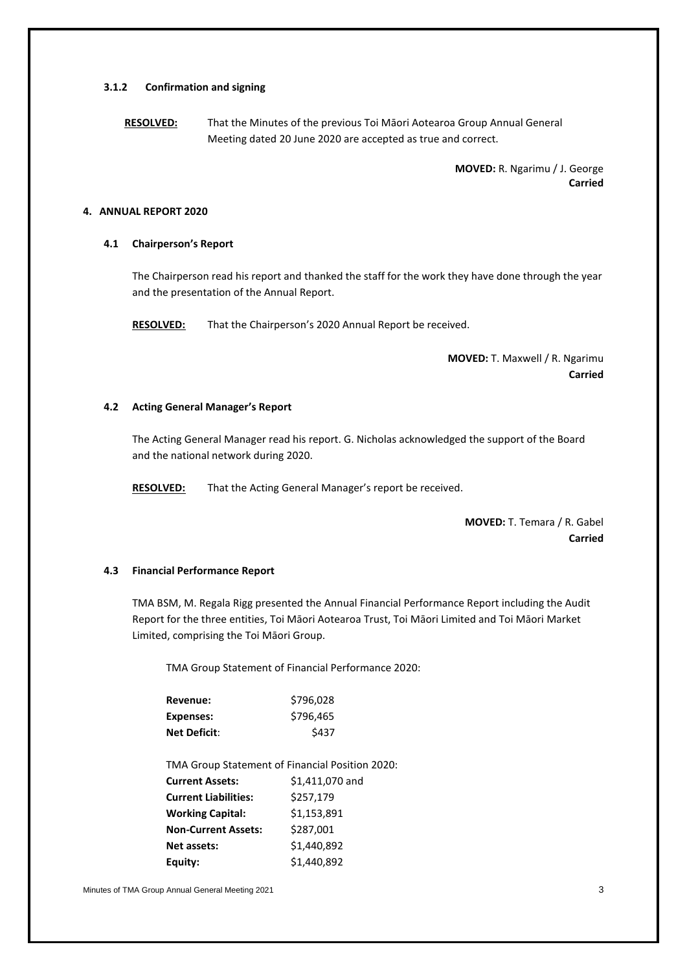#### **3.1.2 Confirmation and signing**

**RESOLVED:** That the Minutes of the previous Toi Māori Aotearoa Group Annual General Meeting dated 20 June 2020 are accepted as true and correct.

> **MOVED:** R. Ngarimu / J. George **Carried**

## **4. ANNUAL REPORT 2020**

#### **4.1 Chairperson's Report**

The Chairperson read his report and thanked the staff for the work they have done through the year and the presentation of the Annual Report.

**RESOLVED:** That the Chairperson's 2020 Annual Report be received.

**MOVED:** T. Maxwell / R. Ngarimu **Carried**

#### **4.2 Acting General Manager's Report**

The Acting General Manager read his report. G. Nicholas acknowledged the support of the Board and the national network during 2020.

**RESOLVED:** That the Acting General Manager's report be received.

**MOVED:** T. Temara / R. Gabel **Carried**

#### **4.3 Financial Performance Report**

TMA BSM, M. Regala Rigg presented the Annual Financial Performance Report including the Audit Report for the three entities, Toi Māori Aotearoa Trust, Toi Māori Limited and Toi Māori Market Limited, comprising the Toi Māori Group.

TMA Group Statement of Financial Performance 2020:

| Revenue:            | \$796,028 |
|---------------------|-----------|
| Expenses:           | \$796,465 |
| <b>Net Deficit:</b> | \$437     |

TMA Group Statement of Financial Position 2020: **Current Assets:** \$1,411,070 and

| <b>Current Liabilities:</b> | \$257,179   |
|-----------------------------|-------------|
| <b>Working Capital:</b>     | \$1,153,891 |
| <b>Non-Current Assets:</b>  | \$287,001   |
| Net assets:                 | \$1,440,892 |
| Equity:                     | \$1,440,892 |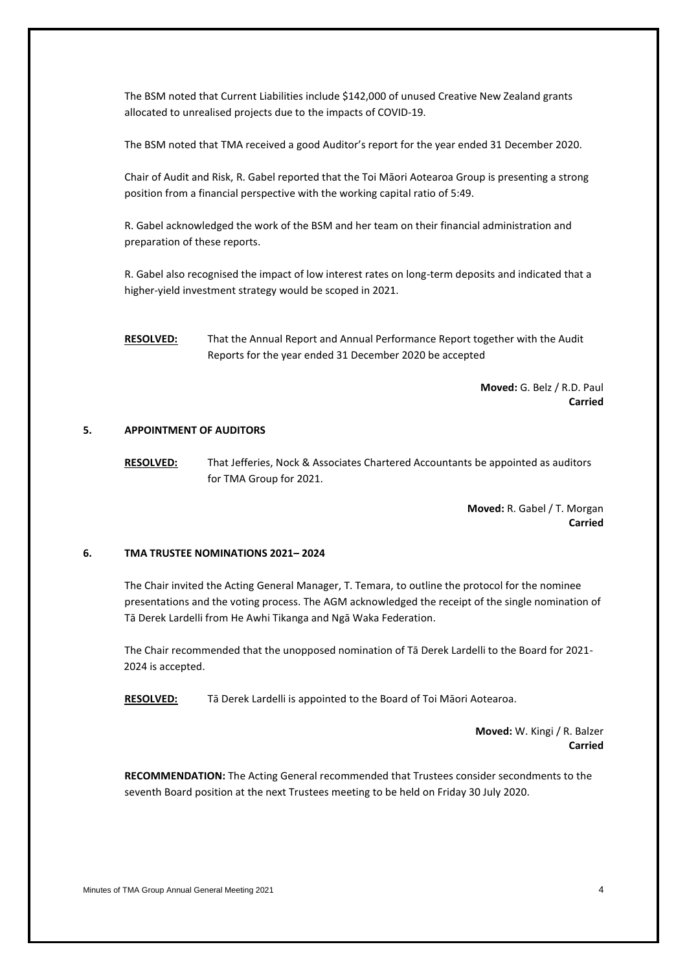The BSM noted that Current Liabilities include \$142,000 of unused Creative New Zealand grants allocated to unrealised projects due to the impacts of COVID-19.

The BSM noted that TMA received a good Auditor's report for the year ended 31 December 2020.

Chair of Audit and Risk, R. Gabel reported that the Toi Māori Aotearoa Group is presenting a strong position from a financial perspective with the working capital ratio of 5:49.

R. Gabel acknowledged the work of the BSM and her team on their financial administration and preparation of these reports.

R. Gabel also recognised the impact of low interest rates on long-term deposits and indicated that a higher-yield investment strategy would be scoped in 2021.

**RESOLVED:** That the Annual Report and Annual Performance Report together with the Audit Reports for the year ended 31 December 2020 be accepted

> **Moved:** G. Belz / R.D. Paul **Carried**

#### **5. APPOINTMENT OF AUDITORS**

**RESOLVED:** That Jefferies, Nock & Associates Chartered Accountants be appointed as auditors for TMA Group for 2021.

> **Moved:** R. Gabel / T. Morgan **Carried**

#### **6. TMA TRUSTEE NOMINATIONS 2021– 2024**

The Chair invited the Acting General Manager, T. Temara, to outline the protocol for the nominee presentations and the voting process. The AGM acknowledged the receipt of the single nomination of Tā Derek Lardelli from He Awhi Tikanga and Ngā Waka Federation.

The Chair recommended that the unopposed nomination of Tā Derek Lardelli to the Board for 2021- 2024 is accepted.

**RESOLVED:** Tā Derek Lardelli is appointed to the Board of Toi Māori Aotearoa.

**Moved:** W. Kingi / R. Balzer **Carried**

**RECOMMENDATION:** The Acting General recommended that Trustees consider secondments to the seventh Board position at the next Trustees meeting to be held on Friday 30 July 2020.